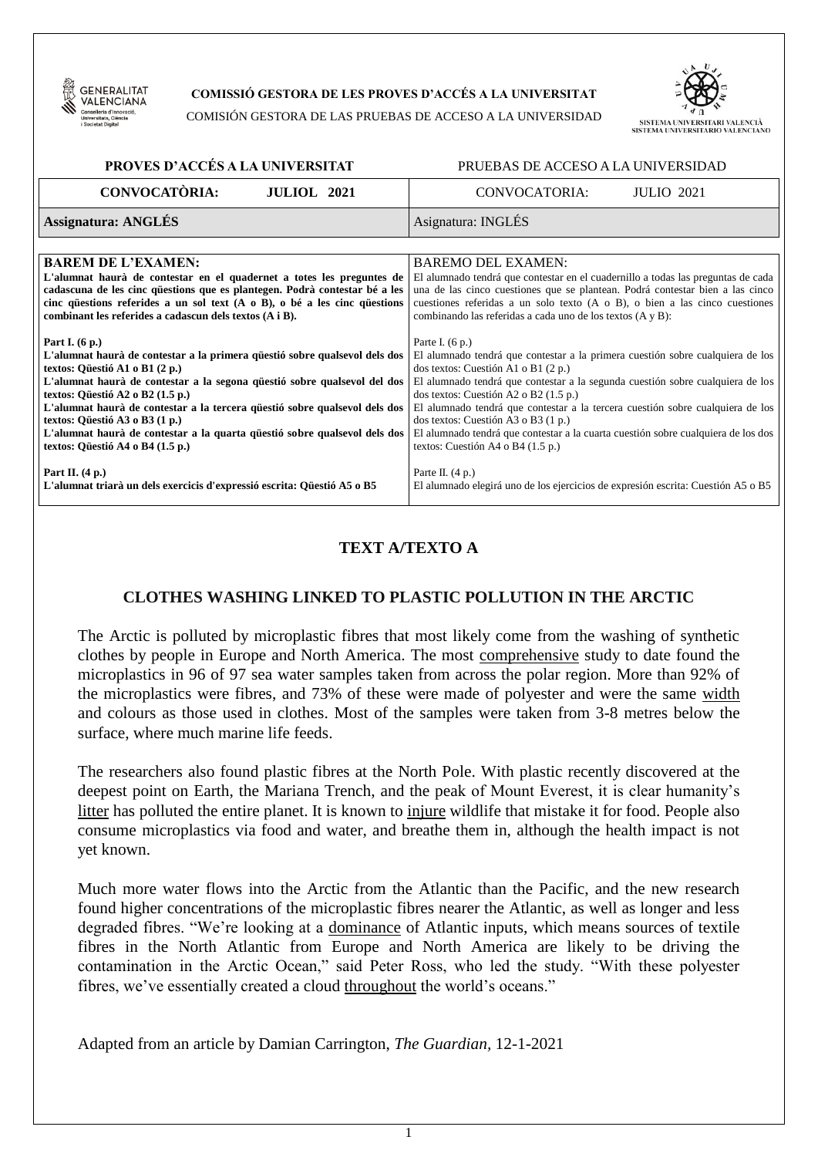

### **COMISSIÓ GESTORA DE LES PROVES D'ACCÉS A LA UNIVERSITAT**

COMISIÓN GESTORA DE LAS PRUEBAS DE ACCESO A LA UNIVERSIDAD



| PROVES D'ACCÉS A LA UNIVERSITAT                                                  | PRUEBAS DE ACCESO A LA UNIVERSIDAD                                                 |  |  |
|----------------------------------------------------------------------------------|------------------------------------------------------------------------------------|--|--|
| <b>CONVOCATÒRIA:</b>                                                             | CONVOCATORIA:                                                                      |  |  |
| <b>JULIOL</b> 2021                                                               | <b>JULIO</b> 2021                                                                  |  |  |
| <b>Assignatura: ANGLÉS</b>                                                       | Asignatura: INGLÉS                                                                 |  |  |
|                                                                                  |                                                                                    |  |  |
| <b>BAREM DE L'EXAMEN:</b>                                                        | <b>BAREMO DEL EXAMEN:</b>                                                          |  |  |
| L'alumnat haurà de contestar en el quadernet a totes les preguntes de            | El alumnado tendrá que contestar en el cuadernillo a todas las preguntas de cada   |  |  |
| cadascuna de les cinc questions que es plantegen. Podrà contestar bé a les       | una de las cinco cuestiones que se plantean. Podrá contestar bien a las cinco      |  |  |
| cinc questions referides a un sol text $(A \circ B)$ , o bé a les cinc questions | cuestiones referidas a un solo texto $(A \circ B)$ , o bien a las cinco cuestiones |  |  |
| combinant les referides a cadascun dels textos (A i B).                          | combinando las referidas a cada uno de los textos (A y B):                         |  |  |
| Part I. $(6 p.)$                                                                 | Parte I. $(6 p.)$                                                                  |  |  |
| L'alumnat haurà de contestar a la primera questió sobre qualsevol dels dos       | El alumnado tendrá que contestar a la primera cuestión sobre cualquiera de los     |  |  |
| textos: Qüestió A1 o B1 (2 p.)                                                   | dos textos: Cuestión A1 o B1 (2 p.)                                                |  |  |
| L'alumnat haurà de contestar a la segona qüestió sobre qualsevol del dos         | El alumnado tendrá que contestar a la segunda cuestión sobre cualquiera de los     |  |  |
| textos: Qüestió A2 o B2 (1.5 p.)                                                 | dos textos: Cuestión A2 o B2 (1.5 p.)                                              |  |  |
| L'alumnat haurà de contestar a la tercera qüestió sobre qualsevol dels dos       | El alumnado tendrá que contestar a la tercera cuestión sobre cualquiera de los     |  |  |
| textos: Qüestió A3 o B3 (1 p.)                                                   | dos textos: Cuestión A3 o B3 (1 p.)                                                |  |  |
| L'alumnat haurà de contestar a la quarta qüestió sobre qualsevol dels dos        | El alumnado tendrá que contestar a la cuarta cuestión sobre cualquiera de los dos  |  |  |
| textos: Qüestió A4 o B4 (1.5 p.)                                                 | textos: Cuestión A4 o B4 $(1.5 p.)$                                                |  |  |
| Part II. $(4 p.)$                                                                | Parte II. $(4 p.)$                                                                 |  |  |
| L'alumnat triarà un dels exercicis d'expressió escrita: Qüestió A5 o B5          | El alumnado elegirá uno de los ejercicios de expresión escrita: Cuestión A5 o B5   |  |  |

# **TEXT A/TEXTO A**

### **CLOTHES WASHING LINKED TO PLASTIC POLLUTION IN THE ARCTIC**

The Arctic is polluted by microplastic fibres that most likely come from the washing of synthetic clothes by people in Europe and North America. The most comprehensive study to date found the microplastics in 96 of 97 sea water samples taken from across the polar region. More than 92% of the microplastics were fibres, and 73% of these were made of polyester and were the same width and colours as those used in clothes. Most of the samples were taken from 3-8 metres below the surface, where much marine life feeds.

The researchers also found plastic fibres at the North Pole. With plastic recently discovered at the deepest point on Earth, the Mariana Trench, and the peak of Mount Everest, it is clear humanity's litter has polluted the entire planet. It is known to injure wildlife that mistake it for food. People also consume microplastics via food and water, and breathe them in, although the health impact is not yet known.

Much more water flows into the Arctic from the Atlantic than the Pacific, and the new research found higher concentrations of the microplastic fibres nearer the Atlantic, as well as longer and less degraded fibres. "We're looking at a dominance of Atlantic inputs, which means sources of textile fibres in the North Atlantic from Europe and North America are likely to be driving the contamination in the Arctic Ocean," said Peter Ross, who led the study. "With these polyester fibres, we've essentially created a cloud throughout the world's oceans."

Adapted from an article by Damian Carrington, *The Guardian,* 12-1-2021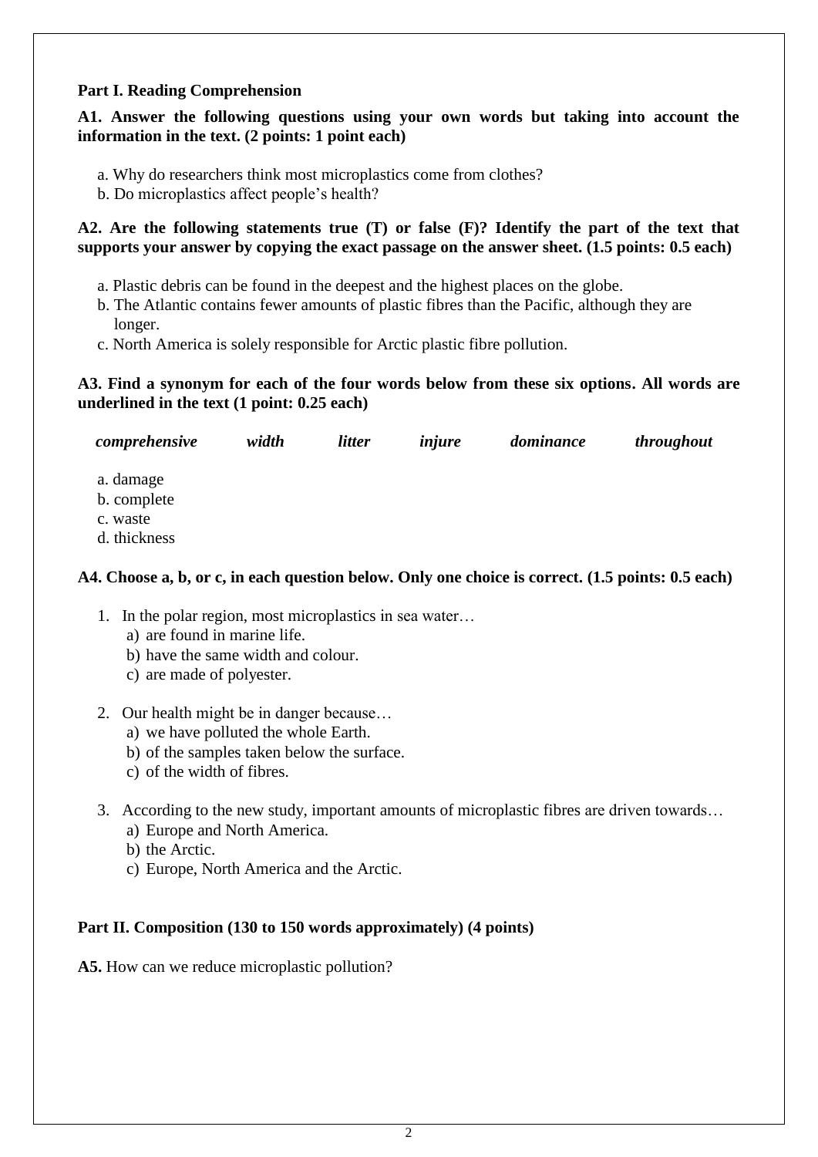# **Part I. Reading Comprehension**

# **A1. Answer the following questions using your own words but taking into account the information in the text. (2 points: 1 point each)**

- a. Why do researchers think most microplastics come from clothes?
- b. Do microplastics affect people's health?

# **A2. Are the following statements true (T) or false (F)? Identify the part of the text that supports your answer by copying the exact passage on the answer sheet. (1.5 points: 0.5 each)**

- a. Plastic debris can be found in the deepest and the highest places on the globe.
- b. The Atlantic contains fewer amounts of plastic fibres than the Pacific, although they are longer.
- c. North America is solely responsible for Arctic plastic fibre pollution.

# **A3. Find a synonym for each of the four words below from these six options. All words are underlined in the text (1 point: 0.25 each)**

| comprehensive                                        | width | <i>litter</i> | injure | dominance | throughout |
|------------------------------------------------------|-------|---------------|--------|-----------|------------|
| a. damage<br>b. complete<br>c. waste<br>d. thickness |       |               |        |           |            |

# **A4. Choose a, b, or c, in each question below. Only one choice is correct. (1.5 points: 0.5 each)**

- 1. In the polar region, most microplastics in sea water…
	- a) are found in marine life.
	- b) have the same width and colour.
	- c) are made of polyester.
- 2. Our health might be in danger because…
	- a) we have polluted the whole Earth.
	- b) of the samples taken below the surface.
	- c) of the width of fibres.
- 3. According to the new study, important amounts of microplastic fibres are driven towards…
	- a) Europe and North America.
	- b) the Arctic.
	- c) Europe, North America and the Arctic.

# **Part II. Composition (130 to 150 words approximately) (4 points)**

**A5.** How can we reduce microplastic pollution?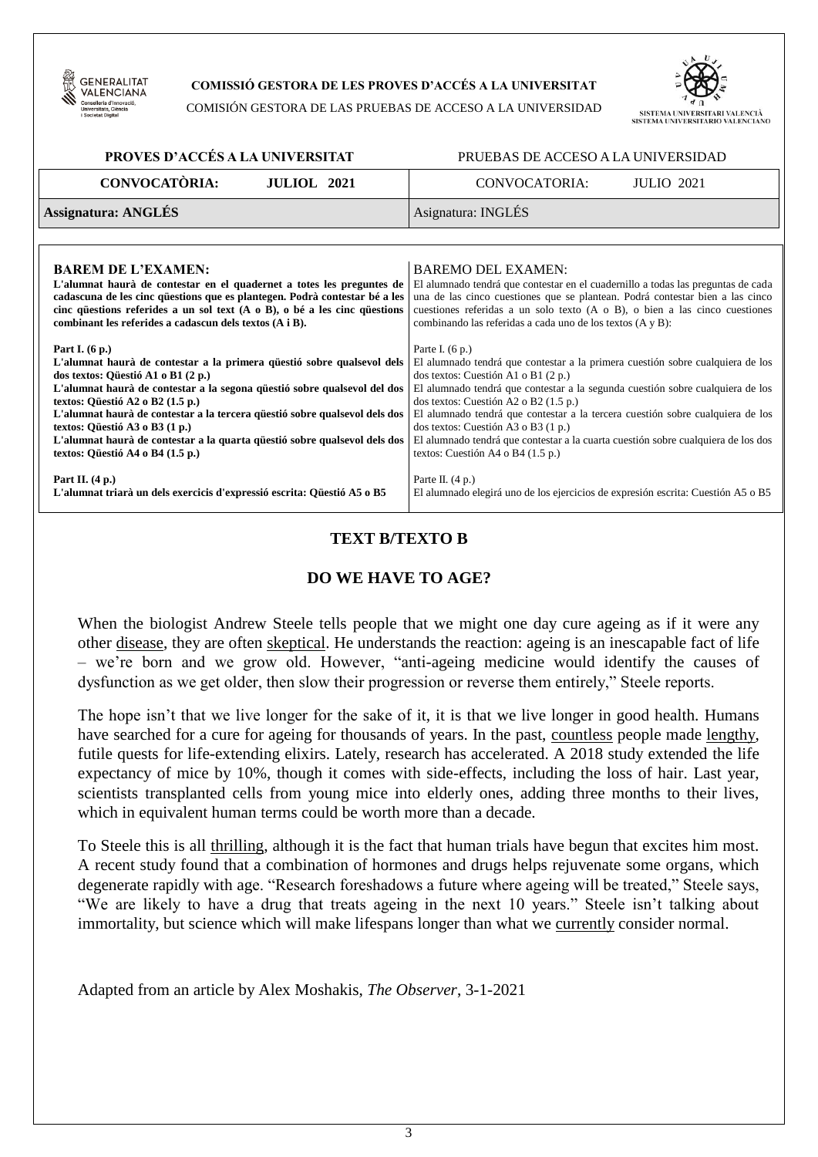

### **COMISSIÓ GESTORA DE LES PROVES D'ACCÉS A LA UNIVERSITAT**

COMISIÓN GESTORA DE LAS PRUEBAS DE ACCESO A LA UNIVERSIDAD



### **PROVES D'ACCÉS A LA UNIVERSITAT** PRUEBAS DE ACCESO A LA UNIVERSIDAD

| <b>CONVOCATÒRIA:</b> | <b>JULIOL</b> 2021 | CONVOCATORIA:      | <b>JULIO</b> 2021 |  |
|----------------------|--------------------|--------------------|-------------------|--|
| Assignatura: ANGLÉS  |                    | Asignatura: INGLÉS |                   |  |

| <b>BAREM DE L'EXAMEN:</b>                                                        | <b>BAREMO DEL EXAMEN:</b>                                                          |
|----------------------------------------------------------------------------------|------------------------------------------------------------------------------------|
| L'alumnat haurà de contestar en el quadernet a totes les preguntes de            | El alumnado tendrá que contestar en el cuadernillo a todas las preguntas de cada   |
| cadascuna de les cinc questions que es plantegen. Podrà contestar bé a les       | una de las cinco cuestiones que se plantean. Podrá contestar bien a las cinco      |
| cinc questions referides a un sol text $(A \circ B)$ , o bé a les cinc questions | cuestiones referidas a un solo texto $(A \circ B)$ , o bien a las cinco cuestiones |
| combinant les referides a cadascun dels textos (A i B).                          | combinando las referidas a cada uno de los textos (A y B):                         |
|                                                                                  |                                                                                    |
| Part I. $(6 p.)$                                                                 | Parte I. $(6 p.)$                                                                  |
| L'alumnat haurà de contestar a la primera questió sobre qualsevol dels           | El alumnado tendrá que contestar a la primera cuestión sobre cualquiera de los     |
| dos textos: Qüestió A1 o B1 (2 p.)                                               | dos textos: Cuestión A1 o B1 (2 p.)                                                |
| L'alumnat haurà de contestar a la segona questió sobre qualsevol del dos         | El alumnado tendrá que contestar a la segunda cuestión sobre cualquiera de los     |
| textos: Qüestió A2 o B2 (1.5 p.)                                                 | dos textos: Cuestión A2 o B2 $(1.5 p.)$                                            |
|                                                                                  | El alumnado tendrá que contestar a la tercera cuestión sobre cualquiera de los     |
| L'alumnat haurà de contestar a la tercera questió sobre qualsevol dels dos       |                                                                                    |
| textos: Qüestió A3 o B3 (1 p.)                                                   | dos textos: Cuestión A3 o B3 (1 p.)                                                |
| L'alumnat haurà de contestar a la quarta questió sobre qualsevol dels dos        | El alumnado tendrá que contestar a la cuarta cuestión sobre cualquiera de los dos  |
| textos: Qüestió A4 o B4 (1.5 p.)                                                 | textos: Cuestión A4 o B4 (1.5 p.)                                                  |
|                                                                                  |                                                                                    |
| Part II. $(4 p.)$                                                                | Parte II. $(4 p.)$                                                                 |
| L'alumnat triarà un dels exercicis d'expressió escrita: Qüestió A5 o B5          | El alumnado elegirá uno de los ejercicios de expresión escrita: Cuestión A5 o B5   |
|                                                                                  |                                                                                    |

# **TEXT B/TEXTO B**

# **DO WE HAVE TO AGE?**

When the biologist Andrew Steele tells people that we might one day cure ageing as if it were any other disease, they are often skeptical. He understands the reaction: ageing is an inescapable fact of life – we're born and we grow old. However, "anti-ageing medicine would identify the causes of dysfunction as we get older, then slow their progression or reverse them entirely," Steele reports.

The hope isn't that we live longer for the sake of it, it is that we live longer in good health. Humans have searched for a cure for ageing for thousands of years. In the past, countless people made lengthy, futile quests for life-extending elixirs. Lately, research has accelerated. A 2018 study extended the life expectancy of mice by 10%, though it comes with side-effects, including the loss of hair. Last year, scientists transplanted cells from young mice into elderly ones, adding three months to their lives, which in equivalent human terms could be worth more than a decade.

To Steele this is all thrilling, although it is the fact that human trials have begun that excites him most. A recent study found that a combination of hormones and drugs helps rejuvenate some organs, which degenerate rapidly with age. "Research foreshadows a future where ageing will be treated," Steele says, "We are likely to have a drug that treats ageing in the next 10 years." Steele isn't talking about immortality, but science which will make lifespans longer than what we currently consider normal.

Adapted from an article by Alex Moshakis, *The Observer*, 3-1-2021